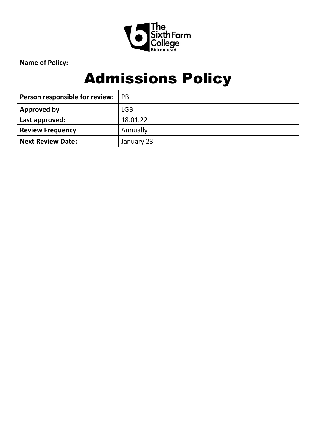

**Name of Policy:**

# Admissions Policy

| Person responsible for review: | <b>PBL</b> |
|--------------------------------|------------|
| Approved by                    | <b>LGB</b> |
| Last approved:                 | 18.01.22   |
| <b>Review Frequency</b>        | Annually   |
| <b>Next Review Date:</b>       | January 23 |
|                                |            |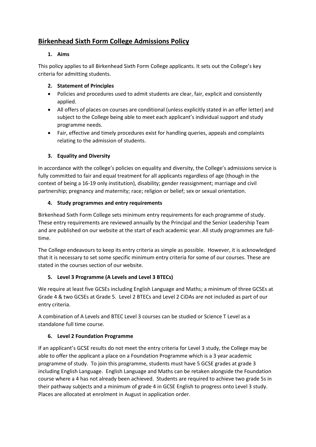# **Birkenhead Sixth Form College Admissions Policy**

# **1. Aims**

This policy applies to all Birkenhead Sixth Form College applicants. It sets out the College's key criteria for admitting students.

# **2. Statement of Principles**

- Policies and procedures used to admit students are clear, fair, explicit and consistently applied.
- All offers of places on courses are conditional (unless explicitly stated in an offer letter) and subject to the College being able to meet each applicant's individual support and study programme needs.
- Fair, effective and timely procedures exist for handling queries, appeals and complaints relating to the admission of students.

### **3. Equality and Diversity**

In accordance with the college's policies on equality and diversity, the College's admissions service is fully committed to fair and equal treatment for all applicants regardless of age (though in the context of being a 16-19 only institution), disability; gender reassignment; marriage and civil partnership; pregnancy and maternity; race; religion or belief; sex or sexual orientation.

### **4. Study programmes and entry requirements**

Birkenhead Sixth Form College sets minimum entry requirements for each programme of study. These entry requirements are reviewed annually by the Principal and the Senior Leadership Team and are published on our website at the start of each academic year. All study programmes are fulltime.

The College endeavours to keep its entry criteria as simple as possible. However, it is acknowledged that it is necessary to set some specific minimum entry criteria for some of our courses. These are stated in the courses section of our website.

# **5. Level 3 Programme (A Levels and Level 3 BTECs)**

We require at least five GCSEs including English Language and Maths; a minimum of three GCSEs at Grade 4 & two GCSEs at Grade 5. Level 2 BTECs and Level 2 CiDAs are not included as part of our entry criteria.

A combination of A Levels and BTEC Level 3 courses can be studied or Science T Level as a standalone full time course.

#### **6. Level 2 Foundation Programme**

If an applicant's GCSE results do not meet the entry criteria for Level 3 study, the College may be able to offer the applicant a place on a Foundation Programme which is a 3 year academic programme of study. To join this programme, students must have 5 GCSE grades at grade 3 including English Language. English Language and Maths can be retaken alongside the Foundation course where a 4 has not already been achieved. Students are required to achieve two grade 5s in their pathway subjects and a minimum of grade 4 in GCSE English to progress onto Level 3 study. Places are allocated at enrolment in August in application order.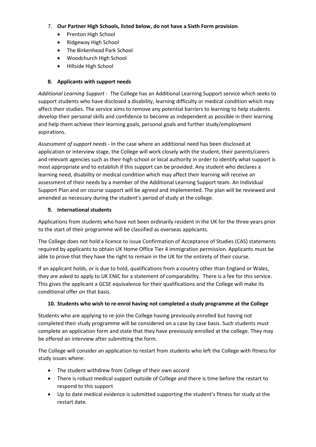- 7. **Our Partner High Schools, listed below, do not have a Sixth Form provision**.
	- Prenton High School
	- Ridgeway High School
	- The Birkenhead Park School
	- Woodchurch High School
	- Hillside High School

# **8. Applicants with support needs**

*Additional Learning Support -* The College has an Additional Learning Support service which seeks to support students who have disclosed a disability, learning difficulty or medical condition which may affect their studies. The service aims to remove any potential barriers to learning to help students develop their personal skills and confidence to become as independent as possible in their learning and help them achieve their learning goals, personal goals and further study/employment aspirations.

*Assessment of support needs* - In the case where an additional need has been disclosed at application or interview stage, the College will work closely with the student, their parents/carers and relevant agencies such as their high school or local authority in order to identify what support is most appropriate and to establish if this support can be provided. Any student who declares a learning need, disability or medical condition which may affect their learning will receive an assessment of their needs by a member of the Additional Learning Support team. An Individual Support Plan and on course support will be agreed and implemented. The plan will be reviewed and amended as necessary during the student's period of study at the college.

### **9. International students**

Applications from students who have not been ordinarily resident in the UK for the three years prior to the start of their programme will be classified as overseas applicants.

The College does not hold a licence to issue Confirmation of Acceptance of Studies (CAS) statements required by applicants to obtain UK Home Office Tier 4 immigration permission. Applicants must be able to prove that they have the right to remain in the UK for the entirety of their course.

If an applicant holds, or is due to hold, qualifications from a country other than England or Wales, they are asked to apply to UK ENIC for a statement of comparability. There is a fee for this service. This gives the applicant a GCSE equivalence for their qualifications and the College will make its conditional offer on that basis.

#### **10. Students who wish to re-enrol having not completed a study programme at the College**

Students who are applying to re-join the College having previously enrolled but having not completed their study programme will be considered on a case by case basis. Such students must complete an application form and state that they have previously enrolled at the college. They may be offered an interview after submitting the form.

The College will consider an application to restart from students who left the College with fitness for study issues where:

- The student withdrew from College of their own accord
- There is robust medical support outside of College and there is time before the restart to respond to this support
- Up to date medical evidence is submitted supporting the student's fitness for study at the restart date.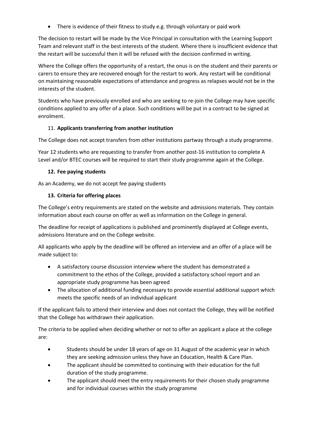• There is evidence of their fitness to study e.g. through voluntary or paid work

The decision to restart will be made by the Vice Principal in consultation with the Learning Support Team and relevant staff in the best interests of the student. Where there is insufficient evidence that the restart will be successful then it will be refused with the decision confirmed in writing.

Where the College offers the opportunity of a restart, the onus is on the student and their parents or carers to ensure they are recovered enough for the restart to work. Any restart will be conditional on maintaining reasonable expectations of attendance and progress as relapses would not be in the interests of the student.

Students who have previously enrolled and who are seeking to re-join the College may have specific conditions applied to any offer of a place. Such conditions will be put in a contract to be signed at enrolment.

### 11. **Applicants transferring from another institution**

The College does not accept transfers from other institutions partway through a study programme.

Year 12 students who are requesting to transfer from another post-16 institution to complete A Level and/or BTEC courses will be required to start their study programme again at the College.

### **12. Fee paying students**

As an Academy, we do not accept fee paying students

### **13. Criteria for offering places**

The College's entry requirements are stated on the website and admissions materials. They contain information about each course on offer as well as information on the College in general.

The deadline for receipt of applications is published and prominently displayed at College events, admissions literature and on the College website.

All applicants who apply by the deadline will be offered an interview and an offer of a place will be made subject to:

- A satisfactory course discussion interview where the student has demonstrated a commitment to the ethos of the College, provided a satisfactory school report and an appropriate study programme has been agreed
- The allocation of additional funding necessary to provide essential additional support which meets the specific needs of an individual applicant

If the applicant fails to attend their interview and does not contact the College, they will be notified that the College has withdrawn their application.

The criteria to be applied when deciding whether or not to offer an applicant a place at the college are:

- Students should be under 18 years of age on 31 August of the academic year in which they are seeking admission unless they have an Education, Health & Care Plan.
- The applicant should be committed to continuing with their education for the full duration of the study programme.
- The applicant should meet the entry requirements for their chosen study programme and for individual courses within the study programme